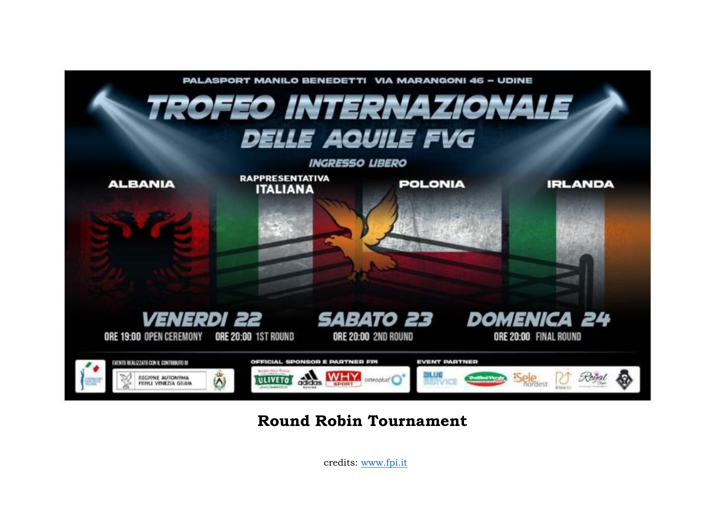

# **Round Robin Tournament**

credits: [www.fpi.it](http://www.fpi.it/)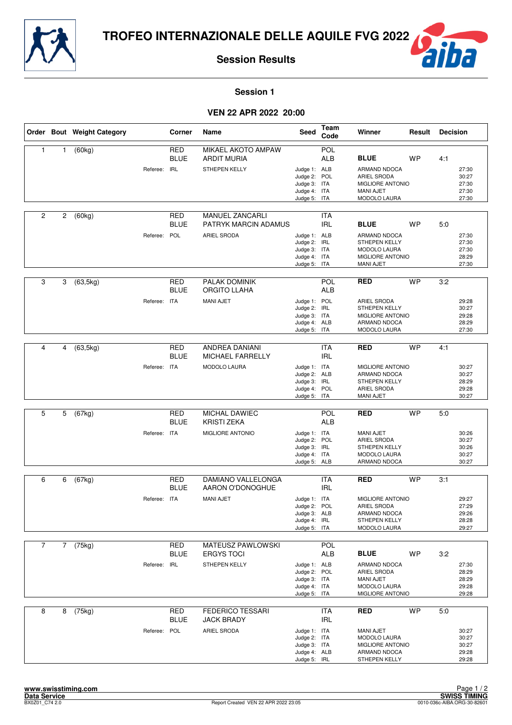



#### **Session 1**

# **VEN 22 APR 2022 20:00**

|                |             | Order Bout Weight Category |              | Corner                    | Name                                            | Seed                                                                         | <b>Team</b><br>Code      | Winner                                                                                       | Result    | <b>Decision</b> |                                           |
|----------------|-------------|----------------------------|--------------|---------------------------|-------------------------------------------------|------------------------------------------------------------------------------|--------------------------|----------------------------------------------------------------------------------------------|-----------|-----------------|-------------------------------------------|
| $\mathbf{1}$   | 1           | (60kg)                     |              | <b>RED</b><br><b>BLUE</b> | <b>MIKAEL AKOTO AMPAW</b><br><b>ARDIT MURIA</b> |                                                                              | POL<br><b>ALB</b>        | <b>BLUE</b>                                                                                  | <b>WP</b> | 4:1             |                                           |
|                |             |                            | Referee: IRL |                           | STHEPEN KELLY                                   | Judge 1: ALB<br>Judge 2: POL<br>Judge 3: ITA<br>Judge 4: ITA<br>Judge 5: ITA |                          | ARMAND NDOCA<br>ARIEL SRODA<br><b>MIGLIORE ANTONIO</b><br><b>MANI AJET</b><br>MODOLO LAURA   |           |                 | 27:30<br>30:27<br>27:30<br>27:30<br>27:30 |
| $\overline{c}$ | 2           | (60kg)                     |              | RED<br><b>BLUE</b>        | <b>MANUEL ZANCARLI</b><br>PATRYK MARCIN ADAMUS  |                                                                              | ITA<br><b>IRL</b>        | <b>BLUE</b>                                                                                  | <b>WP</b> | 5:0             |                                           |
|                |             |                            | Referee: POL |                           | ARIEL SRODA                                     | Judge 1: ALB<br>Judge 2: IRL<br>Judge 3: ITA<br>Judge 4: ITA<br>Judge 5: ITA |                          | ARMAND NDOCA<br><b>STHEPEN KELLY</b><br><b>MODOLO LAURA</b><br>MIGLIORE ANTONIO<br>MANI AJET |           |                 | 27:30<br>27:30<br>27:30<br>28:29<br>27:30 |
| 3              | 3           | (63, 5kg)                  |              | <b>RED</b><br><b>BLUE</b> | PALAK DOMINIK<br>ORGITO LLAHA                   |                                                                              | POL<br><b>ALB</b>        | <b>RED</b>                                                                                   | <b>WP</b> | 3:2             |                                           |
|                |             |                            | Referee: ITA |                           | <b>MANI AJET</b>                                | Judge 1: POL<br>Judge 2: IRL<br>Judge 3: ITA<br>Judge 4: ALB<br>Judge 5: ITA |                          | ARIEL SRODA<br><b>STHEPEN KELLY</b><br>MIGLIORE ANTONIO<br>ARMAND NDOCA<br>MODOLO LAURA      |           |                 | 29:28<br>30:27<br>29:28<br>28:29<br>27:30 |
|                |             |                            |              |                           |                                                 |                                                                              |                          |                                                                                              |           |                 |                                           |
| 4              | 4           | (63, 5kg)                  |              | <b>RED</b><br><b>BLUE</b> | ANDREA DANIANI<br><b>MICHAEL FARRELLY</b>       |                                                                              | <b>ITA</b><br><b>IRL</b> | <b>RED</b>                                                                                   | <b>WP</b> | 4:1             |                                           |
|                |             |                            | Referee: ITA |                           | <b>MODOLO LAURA</b>                             | Judge 1: ITA<br>Judge 2: ALB<br>Judge 3: IRL<br>Judge 4: POL<br>Judge 5: ITA |                          | MIGLIORE ANTONIO<br>ARMAND NDOCA<br><b>STHEPEN KELLY</b><br>ARIEL SRODA<br><b>MANI AJET</b>  |           |                 | 30:27<br>30:27<br>28:29<br>29:28<br>30:27 |
|                |             |                            |              |                           |                                                 |                                                                              |                          |                                                                                              |           |                 |                                           |
| 5              | 5           | (67kg)                     |              | <b>RED</b><br><b>BLUE</b> | MICHAL DAWIEC<br><b>KRISTI ZEKA</b>             |                                                                              | POL<br><b>ALB</b>        | <b>RED</b>                                                                                   | <b>WP</b> | 5:0             |                                           |
|                |             |                            | Referee: ITA |                           | MIGLIORE ANTONIO                                | Judge 1: ITA<br>Judge 2: POL<br>Judge 3: IRL<br>Judge 4: ITA<br>Judge 5: ALB |                          | <b>MANI AJET</b><br>ARIEL SRODA<br><b>STHEPEN KELLY</b><br>MODOLO LAURA<br>ARMAND NDOCA      |           |                 | 30:26<br>30:27<br>30:26<br>30:27<br>30:27 |
| 6              |             |                            |              | RED                       | DAMIANO VALLELONGA                              |                                                                              | ITA                      | <b>RED</b>                                                                                   | <b>WP</b> | 3:1             |                                           |
|                | 6           | (67kg)                     |              | <b>BLUE</b>               | AARON O'DONOGHUE                                |                                                                              | <b>IRL</b>               |                                                                                              |           |                 |                                           |
|                |             |                            | Referee: ITA |                           | <b>MANI AJET</b>                                | Judge 1: ITA<br>Judge 2: POL<br>Judge 3: ALB<br>Judge 4: IRL<br>Judge 5: ITA |                          | MIGLIORE ANTONIO<br>ARIEL SRODA<br>ARMAND NDOCA<br>STHEPEN KELLY<br>MODOLO LAURA             |           |                 | 29:27<br>27:29<br>29:26<br>28:28<br>29:27 |
| $\overline{7}$ | $7^{\circ}$ | (75kg)                     |              | RED                       | MATEUSZ PAWLOWSKI                               |                                                                              | POL                      |                                                                                              |           |                 |                                           |
|                |             |                            |              | <b>BLUE</b>               | <b>ERGYS TOCI</b>                               |                                                                              | ALB                      | <b>BLUE</b>                                                                                  | WP        | 3:2             |                                           |
|                |             |                            | Referee: IRL |                           | STHEPEN KELLY                                   | Judge 1: ALB<br>Judge 2: POL<br>Judge 3: ITA<br>Judge 4: ITA<br>Judge 5: ITA |                          | ARMAND NDOCA<br>ARIEL SRODA<br>MANI AJET<br>MODOLO LAURA<br>MIGLIORE ANTONIO                 |           |                 | 27:30<br>28:29<br>28:29<br>29:28<br>29:28 |
| 8              | 8           | (75kg)                     |              | <b>RED</b><br><b>BLUE</b> | <b>FEDERICO TESSARI</b><br><b>JACK BRADY</b>    |                                                                              | <b>ITA</b><br><b>IRL</b> | <b>RED</b>                                                                                   | <b>WP</b> | 5:0             |                                           |
|                |             |                            | Referee: POL |                           | ARIEL SRODA                                     | Judge 1: ITA<br>Judge 2: ITA<br>Judge 3: ITA<br>Judge 4: ALB<br>Judge 5: IRL |                          | MANI AJET<br>MODOLO LAURA<br>MIGLIORE ANTONIO<br>ARMAND NDOCA<br>STHEPEN KELLY               |           |                 | 30:27<br>30:27<br>30:27<br>29:28<br>29:28 |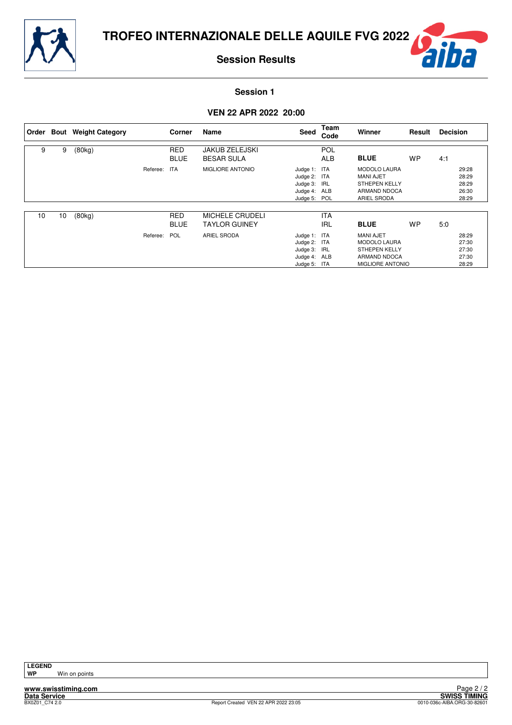





#### **Session 1**

# **VEN 22 APR 2022 20:00**

|    |    | Order Bout Weight Category |          | Corner                    | Name                                           | Seed                                                                         | Team<br>Code             | Winner                                                                                                     | Result    | <b>Decision</b> |                                           |
|----|----|----------------------------|----------|---------------------------|------------------------------------------------|------------------------------------------------------------------------------|--------------------------|------------------------------------------------------------------------------------------------------------|-----------|-----------------|-------------------------------------------|
| 9  | 9  | (80kg)                     |          | <b>RED</b><br><b>BLUE</b> | <b>JAKUB ZELEJSKI</b><br><b>BESAR SULA</b>     |                                                                              | <b>POL</b><br><b>ALB</b> | <b>BLUE</b>                                                                                                | <b>WP</b> | 4:1             |                                           |
|    |    |                            | Referee: | <b>ITA</b>                | MIGLIORE ANTONIO                               | Judge 1: ITA<br>Judge 2: ITA<br>Judge 3: IRL<br>Judge 4: ALB<br>Judge 5: POL |                          | <b>MODOLO LAURA</b><br><b>MANI AJET</b><br><b>STHEPEN KELLY</b><br>ARMAND NDOCA<br><b>ARIEL SRODA</b>      |           |                 | 29:28<br>28:29<br>28:29<br>26:30<br>28:29 |
| 10 | 10 | (80kg)                     |          | <b>RED</b><br><b>BLUE</b> | <b>MICHELE CRUDELI</b><br><b>TAYLOR GUINEY</b> |                                                                              | <b>ITA</b><br><b>IRL</b> | <b>BLUE</b>                                                                                                | <b>WP</b> | 5.0             |                                           |
|    |    |                            | Referee: | <b>POL</b>                | <b>ARIEL SRODA</b>                             | Judge 1: ITA<br>Judge 2: ITA<br>Judge 3: IRL<br>Judge 4: ALB<br>Judge 5: ITA |                          | <b>MANI AJET</b><br><b>MODOLO LAURA</b><br><b>STHEPEN KELLY</b><br>ARMAND NDOCA<br><b>MIGLIORE ANTONIO</b> |           |                 | 28:29<br>27:30<br>27:30<br>27:30<br>28:29 |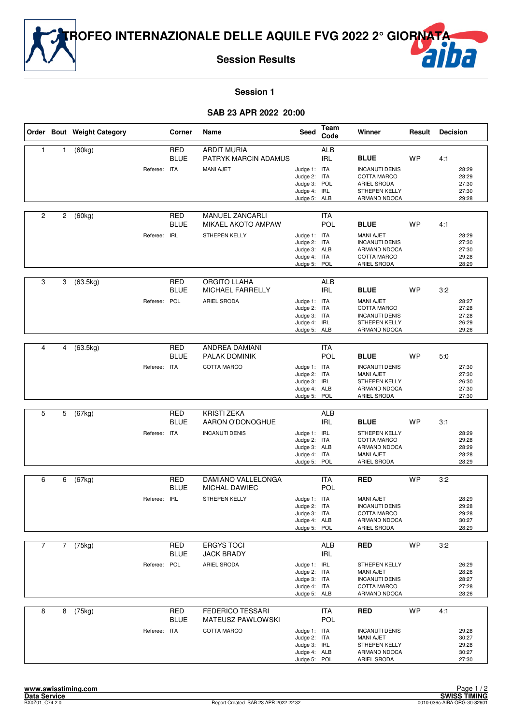



#### **Session 1**

# **SAB 23 APR 2022 20:00**

|                |                       | Order Bout Weight Category |              | Corner                    | Name                                                                      | Seed                                                                         | Team<br>Code             | Winner                                                                                                          | Result    | <b>Decision</b>                                  |
|----------------|-----------------------|----------------------------|--------------|---------------------------|---------------------------------------------------------------------------|------------------------------------------------------------------------------|--------------------------|-----------------------------------------------------------------------------------------------------------------|-----------|--------------------------------------------------|
| 1              | 1                     | (60kg)                     | Referee: ITA | RED<br><b>BLUE</b>        | <b>ARDIT MURIA</b><br>PATRYK MARCIN ADAMUS<br><b>MANI AJET</b>            | Judge 1: ITA<br>Judge 2: ITA<br>Judge 3: POL<br>Judge 4: IRL<br>Judge 5: ALB | <b>ALB</b><br><b>IRL</b> | <b>BLUE</b><br><b>INCANUTI DENIS</b><br><b>COTTA MARCO</b><br>ARIEL SRODA<br>STHEPEN KELLY<br>ARMAND NDOCA      | <b>WP</b> | 4:1<br>28:29<br>28:29<br>27:30<br>27:30<br>29:28 |
| 2              | $\mathbf{2}^{\prime}$ | (60kg)                     | Referee: IRL | <b>RED</b><br><b>BLUE</b> | <b>MANUEL ZANCARLI</b><br><b>MIKAEL AKOTO AMPAW</b><br>STHEPEN KELLY      | Judge 1: ITA<br>Judge 2: ITA<br>Judge 3: ALB<br>Judge 4: ITA<br>Judge 5: POL | ITA<br>POL               | <b>BLUE</b><br><b>MANI AJET</b><br><b>INCANUTI DENIS</b><br>ARMAND NDOCA<br>COTTA MARCO<br>ARIEL SRODA          | <b>WP</b> | 4:1<br>28:29<br>27:30<br>27:30<br>29:28<br>28:29 |
| 3              | 3                     | (63.5kg)                   | Referee: POL | RED<br><b>BLUE</b>        | <b>ORGITO LLAHA</b><br>MICHAEL FARRELLY<br>ARIEL SRODA                    | Judge 1: ITA<br>Judge 2: ITA<br>Judge 3: ITA<br>Judge 4: IRL<br>Judge 5: ALB | ALB<br><b>IRL</b>        | <b>BLUE</b><br><b>MANI AJET</b><br><b>COTTA MARCO</b><br><b>INCANUTI DENIS</b><br>STHEPEN KELLY<br>ARMAND NDOCA | <b>WP</b> | 3:2<br>28:27<br>27:28<br>27:28<br>26:29<br>29:26 |
| 4              | 4                     | (63.5kg)                   | Referee: ITA | <b>RED</b><br><b>BLUE</b> | <b>ANDREA DAMIANI</b><br>PALAK DOMINIK<br><b>COTTA MARCO</b>              | Judge 1: ITA<br>Judge 2: ITA<br>Judge 3: IRL<br>Judge 4: ALB<br>Judge 5: POL | ITA<br>POL               | <b>BLUE</b><br><b>INCANUTI DENIS</b><br><b>MANI AJET</b><br>STHEPEN KELLY<br>ARMAND NDOCA<br>ARIEL SRODA        | <b>WP</b> | 5:0<br>27:30<br>27:30<br>26:30<br>27:30<br>27:30 |
| 5              | 5                     | (67kg)                     | Referee: ITA | <b>RED</b><br><b>BLUE</b> | <b>KRISTI ZEKA</b><br>AARON O'DONOGHUE<br><b>INCANUTI DENIS</b>           | Judge 1: IRL<br>Judge 2: ITA<br>Judge 3: ALB<br>Judge 4: ITA<br>Judge 5: POL | <b>ALB</b><br><b>IRL</b> | <b>BLUE</b><br>STHEPEN KELLY<br>COTTA MARCO<br>ARMAND NDOCA<br><b>MANI AJET</b><br>ARIEL SRODA                  | <b>WP</b> | 3:1<br>28:29<br>29:28<br>28:29<br>28:28<br>28:29 |
| 6              | 6                     | (67kg)                     | Referee: IRL | <b>RED</b><br><b>BLUE</b> | DAMIANO VALLELONGA<br>MICHAL DAWIEC<br>STHEPEN KELLY                      | Judge 1: ITA<br>Judge 2: ITA<br>Judge 3: ITA<br>Judge 4: ALB<br>Judge 5: POL | ITA<br>POL               | <b>RED</b><br><b>MANI AJET</b><br><b>INCANUTI DENIS</b><br>COTTA MARCO<br>ARMAND NDOCA<br>ARIEL SRODA           | <b>WP</b> | 3:2<br>28:29<br>29:28<br>29:28<br>30:27<br>28:29 |
| $\overline{7}$ | $\overline{7}$        | (75kg)                     | Referee: POL | <b>RED</b><br><b>BLUE</b> | <b>ERGYS TOCI</b><br><b>JACK BRADY</b><br>ARIEL SRODA                     | Judge 1: IRL<br>Judge 2: ITA<br>Judge 3: ITA<br>Judge 4: ITA<br>Judge 5: ALB | <b>ALB</b><br><b>IRL</b> | <b>RED</b><br>STHEPEN KELLY<br><b>MANI AJET</b><br><b>INCANUTI DENIS</b><br>COTTA MARCO<br>ARMAND NDOCA         | <b>WP</b> | 3:2<br>26:29<br>28:26<br>28:27<br>27:28<br>28:26 |
| 8              | 8                     | (75kg)                     | Referee: ITA | <b>RED</b><br><b>BLUE</b> | <b>FEDERICO TESSARI</b><br><b>MATEUSZ PAWLOWSKI</b><br><b>COTTA MARCO</b> | Judge 1: ITA<br>Judge 2: ITA<br>Judge 3: IRL<br>Judge 4: ALB<br>Judge 5: POL | ITA<br>POL               | <b>RED</b><br><b>INCANUTI DENIS</b><br>MANI AJET<br>STHEPEN KELLY<br>ARMAND NDOCA<br>ARIEL SRODA                | <b>WP</b> | 4:1<br>29:28<br>30:27<br>29:28<br>30:27<br>27:30 |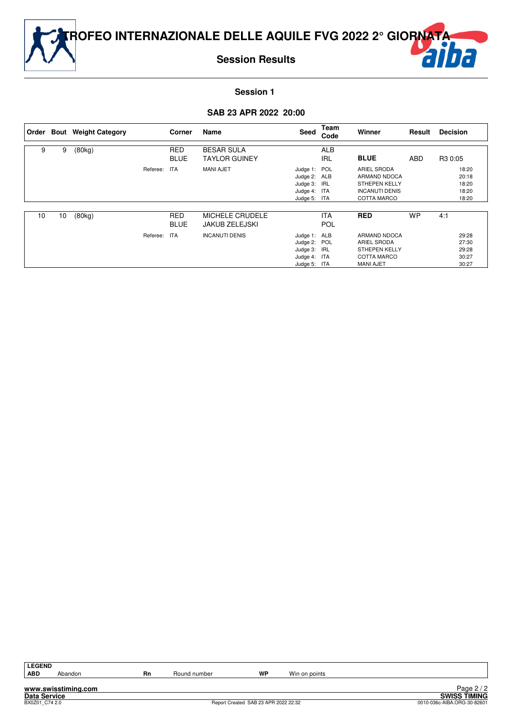

**TROFEO INTERNAZIONALE DELLE AQUILE FVG 2022 2° GIORNATA**

**Session Results**



**Session 1** 

# **SAB 23 APR 2022 20:00**

|    |    | Order Bout Weight Category |              | Corner                    | Name                                      | Seed                                                                         | Team<br>Code             | Winner                                                                                             | Result    | <b>Decision</b>                           |
|----|----|----------------------------|--------------|---------------------------|-------------------------------------------|------------------------------------------------------------------------------|--------------------------|----------------------------------------------------------------------------------------------------|-----------|-------------------------------------------|
| 9  | 9  | (80kg)                     |              | <b>RED</b><br><b>BLUE</b> | <b>BESAR SULA</b><br><b>TAYLOR GUINEY</b> |                                                                              | <b>ALB</b><br><b>IRL</b> | <b>BLUE</b>                                                                                        | ABD       | R3 0:05                                   |
|    |    |                            | Referee: ITA |                           | <b>MANI AJET</b>                          | Judge 1: POL<br>Judge 2: ALB<br>Judge 3: IRL<br>Judge 4: ITA<br>Judge 5: ITA |                          | <b>ARIEL SRODA</b><br>ARMAND NDOCA<br><b>STHEPEN KELLY</b><br><b>INCANUTI DENIS</b><br>COTTA MARCO |           | 18:20<br>20:18<br>18:20<br>18:20<br>18:20 |
| 10 | 10 | (80kg)                     |              | <b>RED</b><br><b>BLUE</b> | <b>MICHELE CRUDELE</b><br>JAKUB ZELEJSKI  |                                                                              | <b>ITA</b><br>POL        | <b>RED</b>                                                                                         | <b>WP</b> | 4:1                                       |
|    |    |                            | Referee:     | ITA                       | <b>INCANUTI DENIS</b>                     | Judge 1: ALB<br>Judge 2: POL<br>Judge 3: IRL<br>Judge 4: ITA<br>Judge 5: ITA |                          | ARMAND NDOCA<br><b>ARIEL SRODA</b><br><b>STHEPEN KELLY</b><br>COTTA MARCO<br><b>MANI AJET</b>      |           | 29:28<br>27:30<br>29:28<br>30:27<br>30:27 |

**www.swisstiming.com**

Abandon **Rn** Round number **WP** Win on points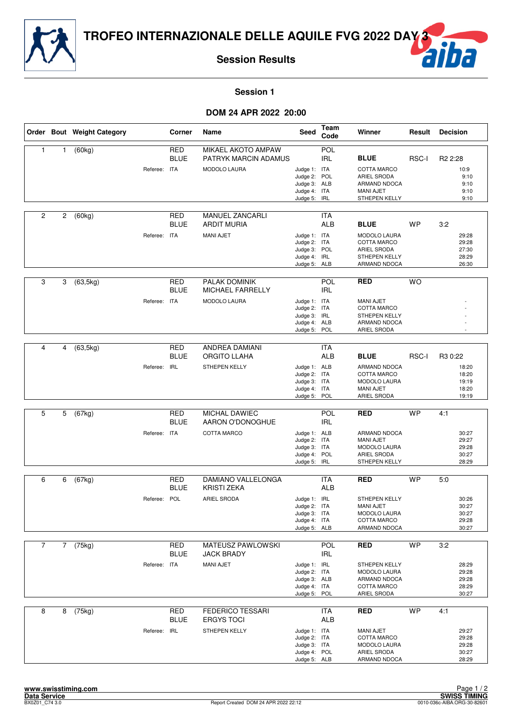



**Session 1** 

#### **DOM 24 APR 2022 20:00**

|                |             | Order Bout Weight Category |              | Corner                    | Name                                                              | Seed                                                                         | Team<br>Code             | Winner                                                                                                   | Result    | <b>Decision</b>                                             |
|----------------|-------------|----------------------------|--------------|---------------------------|-------------------------------------------------------------------|------------------------------------------------------------------------------|--------------------------|----------------------------------------------------------------------------------------------------------|-----------|-------------------------------------------------------------|
| $\mathbf{1}$   | 1           | (60kg)                     | Referee: ITA | <b>RED</b><br><b>BLUE</b> | MIKAEL AKOTO AMPAW<br>PATRYK MARCIN ADAMUS<br><b>MODOLO LAURA</b> | Judge 1: ITA<br>Judge 2: POL<br>Judge 3: ALB<br>Judge 4: ITA<br>Judge 5:     | POL<br><b>IRL</b><br>IRL | <b>BLUE</b><br><b>COTTA MARCO</b><br>ARIEL SRODA<br>ARMAND NDOCA<br><b>MANI AJET</b><br>STHEPEN KELLY    | RSC-I     | R <sub>2</sub> 2:28<br>10:9<br>9:10<br>9:10<br>9:10<br>9:10 |
| 2              | 2           | (60kg)                     | Referee: ITA | <b>RED</b><br><b>BLUE</b> | MANUEL ZANCARLI<br><b>ARDIT MURIA</b><br><b>MANI AJET</b>         | Judge 1: ITA<br>Judge 2: ITA<br>Judge 3: POL<br>Judge 4: IRL<br>Judge 5: ALB | <b>ITA</b><br><b>ALB</b> | <b>BLUE</b><br><b>MODOLO LAURA</b><br>COTTA MARCO<br>ARIEL SRODA<br><b>STHEPEN KELLY</b><br>ARMAND NDOCA | <b>WP</b> | 3:2<br>29:28<br>29:28<br>27:30<br>28:29<br>26:30            |
| 3              | 3           | (63, 5kg)                  | Referee: ITA | <b>RED</b><br><b>BLUE</b> | PALAK DOMINIK<br>MICHAEL FARRELLY<br><b>MODOLO LAURA</b>          | Judge 1: ITA<br>Judge 2: ITA<br>Judge 3: IRL<br>Judge 4: ALB<br>Judge 5:     | POL<br><b>IRL</b><br>POL | <b>RED</b><br><b>MANI AJET</b><br>COTTA MARCO<br><b>STHEPEN KELLY</b><br>ARMAND NDOCA<br>ARIEL SRODA     | <b>WO</b> |                                                             |
| 4              | 4           | (63, 5kg)                  | Referee: IRL | <b>RED</b><br><b>BLUE</b> | <b>ANDREA DAMIANI</b><br><b>ORGITO LLAHA</b><br>STHEPEN KELLY     | Judge 1: ALB<br>Judge 2: ITA<br>Judge 3: ITA<br>Judge 4: ITA<br>Judge 5: POL | <b>ITA</b><br><b>ALB</b> | <b>BLUE</b><br><b>ARMAND NDOCA</b><br>COTTA MARCO<br>MODOLO LAURA<br><b>MANI AJET</b><br>ARIEL SRODA     | RSC-I     | R3 0:22<br>18:20<br>18:20<br>19:19<br>18:20<br>19:19        |
| 5              | 5           | (67kg)                     | Referee: ITA | <b>RED</b><br><b>BLUE</b> | MICHAL DAWIEC<br>AARON O'DONOGHUE<br>COTTA MARCO                  | Judge 1: ALB<br>Judge 2: ITA<br>Judge 3: ITA<br>Judge 4: POL<br>Judge 5:     | POL<br><b>IRL</b><br>IRL | <b>RED</b><br>ARMAND NDOCA<br><b>MANI AJET</b><br>MODOLO LAURA<br>ARIEL SRODA<br>STHEPEN KELLY           | <b>WP</b> | 4:1<br>30:27<br>29:27<br>29:28<br>30:27<br>28:29            |
| 6              | 6           | (67kg)                     | Referee: POL | <b>RED</b><br><b>BLUE</b> | <b>DAMIANO VALLELONGA</b><br><b>KRISTI ZEKA</b><br>ARIEL SRODA    | Judge 1: IRL<br>Judge 2: ITA<br>Judge 3: ITA<br>Judge 4: ITA<br>Judge 5: ALB | <b>ITA</b><br><b>ALB</b> | <b>RED</b><br>STHEPEN KELLY<br>MANI AJET<br>MODOLO LAURA<br>COTTA MARCO<br>ARMAND NDOCA                  | <b>WP</b> | 5:0<br>30:26<br>30:27<br>30:27<br>29:28<br>30:27            |
| $\overline{7}$ | $7^{\circ}$ | (75kg)                     | Referee: ITA | RED<br><b>BLUE</b>        | MATEUSZ PAWLOWSKI<br><b>JACK BRADY</b><br><b>MANI AJET</b>        | Judge 1: IRL<br>Judge 2: ITA<br>Judge 3: ALB<br>Judge 4: ITA<br>Judge 5: POL | <b>POL</b><br><b>IRL</b> | <b>RED</b><br>STHEPEN KELLY<br>MODOLO LAURA<br>ARMAND NDOCA<br>COTTA MARCO<br>ARIEL SRODA                | <b>WP</b> | 3:2<br>28:29<br>29:28<br>29:28<br>28:29<br>30:27            |
| 8              | 8           | (75kg)                     | Referee: IRL | <b>RED</b><br><b>BLUE</b> | <b>FEDERICO TESSARI</b><br><b>ERGYS TOCI</b><br>STHEPEN KELLY     | Judge 1: ITA<br>Judge 2: ITA<br>Judge 3: ITA<br>Judge 4: POL<br>Judge 5: ALB | <b>ITA</b><br>ALB        | <b>RED</b><br><b>MANI AJET</b><br>COTTA MARCO<br>MODOLO LAURA<br>ARIEL SRODA<br>ARMAND NDOCA             | <b>WP</b> | 4:1<br>29:27<br>29:28<br>29:28<br>30:27<br>28:29            |